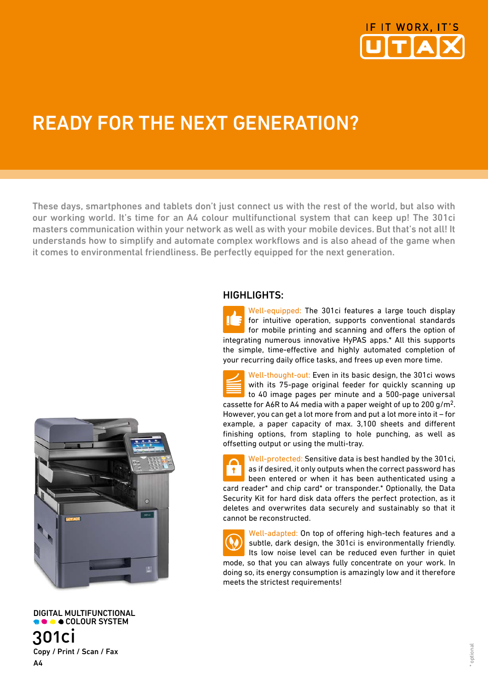

# READY FOR THE NEXT GENERATION?

These days, smartphones and tablets don't just connect us with the rest of the world, but also with our working world. It's time for an A4 colour multifunctional system that can keep up! The 301ci masters communication within your network as well as with your mobile devices. But that's not all! It understands how to simplify and automate complex workflows and is also ahead of the game when it comes to environmental friendliness. Be perfectly equipped for the next generation.

## HIGHLIGHTS:

Well-equipped: The 301ci features a large touch display for intuitive operation, supports conventional standards for mobile printing and scanning and offers the option of integrating numerous innovative HyPAS apps.\* All this supports the simple, time-effective and highly automated completion of your recurring daily office tasks, and frees up even more time.

Well-thought-out: Even in its basic design, the 301ci wows with its 75-page original feeder for quickly scanning up to 40 image pages per minute and a 500-page universal cassette for A6R to A4 media with a paper weight of up to 200 g/m2. However, you can get a lot more from and put a lot more into it – for example, a paper capacity of max. 3,100 sheets and different finishing options, from stapling to hole punching, as well as offsetting output or using the multi-tray.

Well-protected: Sensitive data is best handled by the 301ci, as if desired, it only outputs when the correct password has **F** been entered or when it has been authenticated using a card reader\* and chip card\* or transponder.\* Optionally, the Data Security Kit for hard disk data offers the perfect protection, as it deletes and overwrites data securely and sustainably so that it cannot be reconstructed.

Well-adapted: On top of offering high-tech features and a  $\ddot{\bullet}$ subtle, dark design, the 301ci is environmentally friendly. Its low noise level can be reduced even further in quiet mode, so that you can always fully concentrate on your work. In doing so, its energy consumption is amazingly low and it therefore meets the strictest requirements!



**COLOUR SYSTEM** 301ci Copy / Print / Scan / Fax  $\Delta\Lambda$ 

DIGITAL MULTIFUNCTIONAL